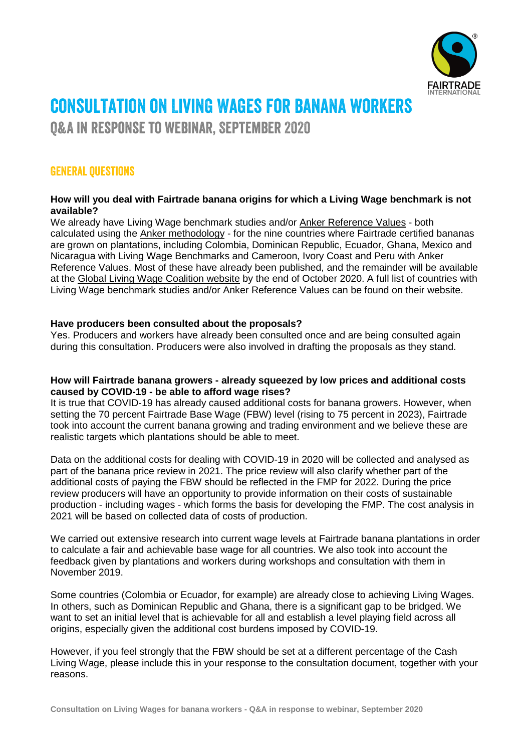

# consultation on Living Wages for banana workers

Q&A in response to webinar, September 2020

# General questions

### **How will you deal with Fairtrade banana origins for which a Living Wage benchmark is not available?**

We already have Living Wage benchmark studies and/or Anker [Reference](https://www.globallivingwage.org/anker-living-wage-and-living-income-reference-values/) Values - both calculated using the Anker [methodology](https://www.globallivingwage.org/about/anker-methodology/) - for the nine countries where Fairtrade certified bananas are grown on plantations, including Colombia, Dominican Republic, Ecuador, Ghana, Mexico and Nicaragua with Living Wage Benchmarks and Cameroon, Ivory Coast and Peru with Anker Reference Values. Most of these have already been published, and the remainder will be available at the Global Living Wage [Coalition](https://www.globallivingwage.org/resource-library/?fwp_resource_type=livingwage) website by the end of October 2020. A full list of countries with Living Wage benchmark studies and/or Anker Reference Values can be found on their website.

# **Have producers been consulted about the proposals?**

Yes. Producers and workers have already been consulted once and are being consulted again during this consultation. Producers were also involved in drafting the proposals as they stand.

# **How will Fairtrade banana growers - already squeezed by low prices and additional costs caused by COVID-19 - be able to afford wage rises?**

It is true that COVID-19 has already caused additional costs for banana growers. However, when setting the 70 percent Fairtrade Base Wage (FBW) level (rising to 75 percent in 2023), Fairtrade took into account the current banana growing and trading environment and we believe these are realistic targets which plantations should be able to meet.

Data on the additional costs for dealing with COVID-19 in 2020 will be collected and analysed as part of the banana price review in 2021. The price review will also clarify whether part of the additional costs of paying the FBW should be reflected in the FMP for 2022. During the price review producers will have an opportunity to provide information on their costs of sustainable production - including wages - which forms the basis for developing the FMP. The cost analysis in 2021 will be based on collected data of costs of production.

We carried out extensive research into current wage levels at Fairtrade banana plantations in order to calculate a fair and achievable base wage for all countries. We also took into account the feedback given by plantations and workers during workshops and consultation with them in November 2019.

Some countries (Colombia or Ecuador, for example) are already close to achieving Living Wages. In others, such as Dominican Republic and Ghana, there is a significant gap to be bridged. We want to set an initial level that is achievable for all and establish a level playing field across all origins, especially given the additional cost burdens imposed by COVID-19.

However, if you feel strongly that the FBW should be set at a different percentage of the Cash Living Wage, please include this in your response to the consultation document, together with your reasons.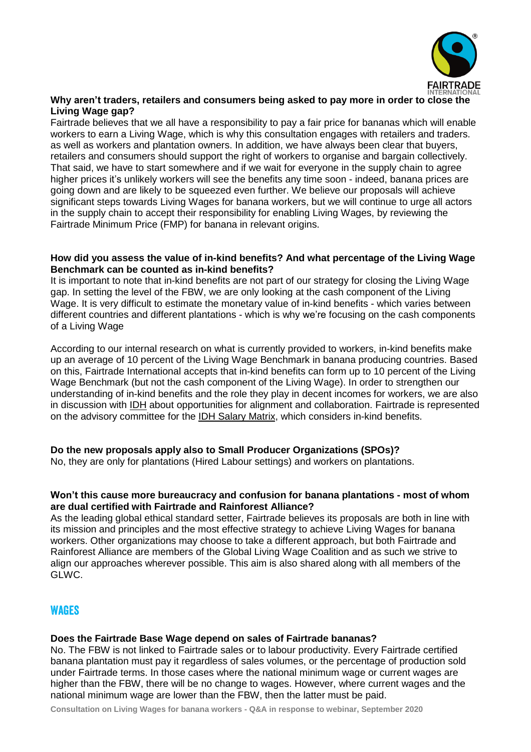

### **Why aren't traders, retailers and consumers being asked to pay more in order to close the Living Wage gap?**

Fairtrade believes that we all have a responsibility to pay a fair price for bananas which will enable workers to earn a Living Wage, which is why this consultation engages with retailers and traders. as well as workers and plantation owners. In addition, we have always been clear that buyers, retailers and consumers should support the right of workers to organise and bargain collectively. That said, we have to start somewhere and if we wait for everyone in the supply chain to agree higher prices it's unlikely workers will see the benefits any time soon - indeed, banana prices are going down and are likely to be squeezed even further. We believe our proposals will achieve significant steps towards Living Wages for banana workers, but we will continue to urge all actors in the supply chain to accept their responsibility for enabling Living Wages, by reviewing the Fairtrade Minimum Price (FMP) for banana in relevant origins.

#### **How did you assess the value of in-kind benefits? And what percentage of the Living Wage Benchmark can be counted as in-kind benefits?**

It is important to note that in-kind benefits are not part of our strategy for closing the Living Wage gap. In setting the level of the FBW, we are only looking at the cash component of the Living Wage. It is very difficult to estimate the monetary value of in-kind benefits - which varies between different countries and different plantations - which is why we're focusing on the cash components of a Living Wage

According to our internal research on what is currently provided to workers, in-kind benefits make up an average of 10 percent of the Living Wage Benchmark in banana producing countries. Based on this, Fairtrade International accepts that in-kind benefits can form up to 10 percent of the Living Wage Benchmark (but not the cash component of the Living Wage). In order to strengthen our understanding of in-kind benefits and the role they play in decent incomes for workers, we are also in discussion with [IDH](https://www.idhsustainabletrade.com/) about opportunities for alignment and collaboration. Fairtrade is represented on the advisory committee for the IDH Salary [Matrix,](https://www.idhsustainabletrade.com/matrix-living-wage-gap/) which considers in-kind benefits.

# **Do the new proposals apply also to Small Producer Organizations (SPOs)?**

No, they are only for plantations (Hired Labour settings) and workers on plantations.

#### **Won't this cause more bureaucracy and confusion for banana plantations - most of whom are dual certified with Fairtrade and Rainforest Alliance?**

As the leading global ethical standard setter, Fairtrade believes its proposals are both in line with its mission and principles and the most effective strategy to achieve Living Wages for banana workers. Other organizations may choose to take a different approach, but both Fairtrade and Rainforest Alliance are members of the Global Living Wage Coalition and as such we strive to align our approaches wherever possible. This aim is also shared along with all members of the GLWC.

# **WAGES**

# **Does the Fairtrade Base Wage depend on sales of Fairtrade bananas?**

No. The FBW is not linked to Fairtrade sales or to labour productivity. Every Fairtrade certified banana plantation must pay it regardless of sales volumes, or the percentage of production sold under Fairtrade terms. In those cases where the national minimum wage or current wages are higher than the FBW, there will be no change to wages. However, where current wages and the national minimum wage are lower than the FBW, then the latter must be paid.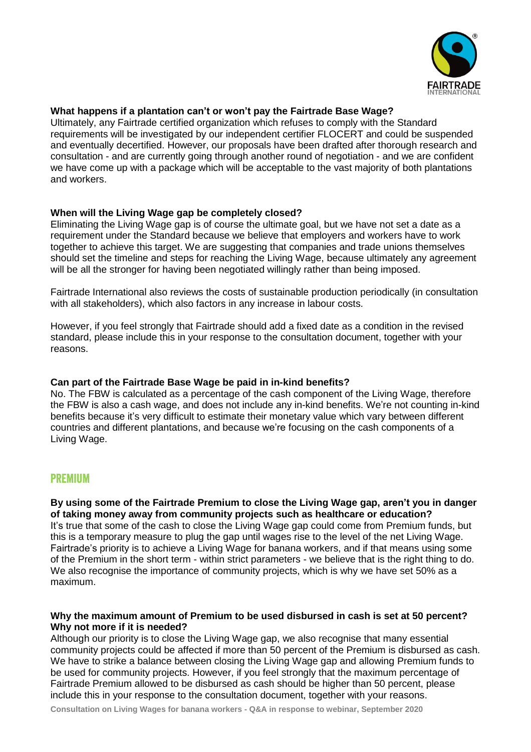

#### **What happens if a plantation can't or won't pay the Fairtrade Base Wage?**

Ultimately, any Fairtrade certified organization which refuses to comply with the Standard requirements will be investigated by our independent certifier FLOCERT and could be suspended and eventually decertified. However, our proposals have been drafted after thorough research and consultation - and are currently going through another round of negotiation - and we are confident we have come up with a package which will be acceptable to the vast majority of both plantations and workers.

#### **When will the Living Wage gap be completely closed?**

Eliminating the Living Wage gap is of course the ultimate goal, but we have not set a date as a requirement under the Standard because we believe that employers and workers have to work together to achieve this target. We are suggesting that companies and trade unions themselves should set the timeline and steps for reaching the Living Wage, because ultimately any agreement will be all the stronger for having been negotiated willingly rather than being imposed.

Fairtrade International also reviews the costs of sustainable production periodically (in consultation with all stakeholders), which also factors in any increase in labour costs.

However, if you feel strongly that Fairtrade should add a fixed date as a condition in the revised standard, please include this in your response to the consultation document, together with your reasons.

# **Can part of the Fairtrade Base Wage be paid in in-kind benefits?**

No. The FBW is calculated as a percentage of the cash component of the Living Wage, therefore the FBW is also a cash wage, and does not include any in-kind benefits. We're not counting in-kind benefits because it's very difficult to estimate their monetary value which vary between different countries and different plantations, and because we're focusing on the cash components of a Living Wage.

# premium

**By using some of the Fairtrade Premium to close the Living Wage gap, aren't you in danger of taking money away from community projects such as healthcare or education?** It's true that some of the cash to close the Living Wage gap could come from Premium funds, but this is a temporary measure to plug the gap until wages rise to the level of the net Living Wage. Fairtrade's priority is to achieve a Living Wage for banana workers, and if that means using some of the Premium in the short term - within strict parameters - we believe that is the right thing to do. We also recognise the importance of community projects, which is why we have set 50% as a maximum.

#### **Why the maximum amount of Premium to be used disbursed in cash is set at 50 percent? Why not more if it is needed?**

Although our priority is to close the Living Wage gap, we also recognise that many essential community projects could be affected if more than 50 percent of the Premium is disbursed as cash. We have to strike a balance between closing the Living Wage gap and allowing Premium funds to be used for community projects. However, if you feel strongly that the maximum percentage of Fairtrade Premium allowed to be disbursed as cash should be higher than 50 percent, please include this in your response to the consultation document, together with your reasons.

**Consultation on Living Wages for banana workers - Q&A in response to webinar, September 2020**